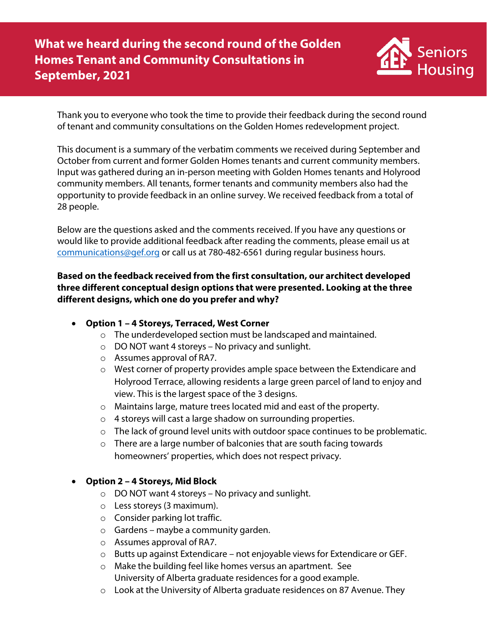

Thank you to everyone who took the time to provide their feedback during the second round of tenant and community consultations on the Golden Homes redevelopment project.

This document is a summary of the verbatim comments we received during September and October from current and former Golden Homes tenants and current community members. Input was gathered during an in-person meeting with Golden Homes tenants and Holyrood community members. All tenants, former tenants and community members also had the opportunity to provide feedback in an online survey. We received feedback from a total of 28 people.

Below are the questions asked and the comments received. If you have any questions or would like to provide additional feedback after reading the comments, please email us at [communications@gef.org](mailto:communications@gef.org) or call us at 780-482-6561 during regular business hours.

**Based on the feedback received from the first consultation, our architect developed three different conceptual design options that were presented. Looking at the three different designs, which one do you prefer and why?** 

- **Option 1 – 4 Storeys, Terraced, West Corner**
	- o The underdeveloped section must be landscaped and maintained.
	- $\circ$  DO NOT want 4 storeys No privacy and sunlight.
	- o Assumes approval of RA7.
	- $\circ$  West corner of property provides ample space between the Extendicare and Holyrood Terrace, allowing residents a large green parcel of land to enjoy and view. This is the largest space of the 3 designs.
	- o Maintains large, mature trees located mid and east of the property.
	- o 4 storeys will cast a large shadow on surrounding properties.
	- $\circ$  The lack of ground level units with outdoor space continues to be problematic.
	- o There are a large number of balconies that are south facing towards homeowners' properties, which does not respect privacy.

# • **Option 2 – 4 Storeys, Mid Block**

- $\circ$  DO NOT want 4 storeys No privacy and sunlight.
- o Less storeys (3 maximum).
- o Consider parking lot traffic.
- $\circ$  Gardens maybe a community garden.
- o Assumes approval of RA7.
- o Butts up against Extendicare not enjoyable views for Extendicare or GEF.
- o Make the building feel like homes versus an apartment. See University of Alberta graduate residences for a good example.
- o Look at the University of Alberta graduate residences on 87 Avenue. They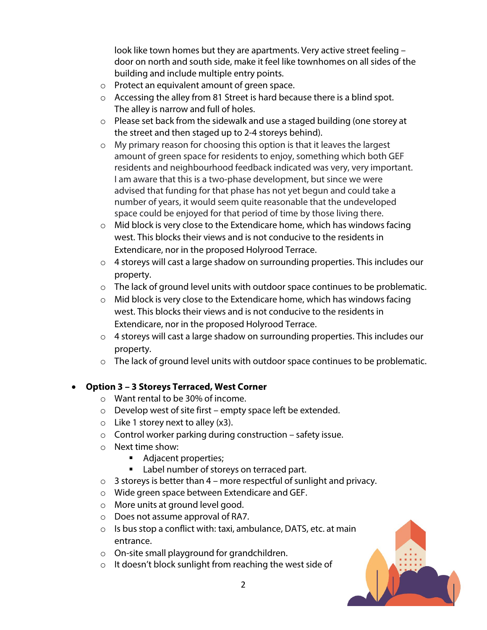look like town homes but they are apartments. Very active street feeling – door on north and south side, make it feel like townhomes on all sides of the building and include multiple entry points.

- o Protect an equivalent amount of green space.
- o Accessing the alley from 81 Street is hard because there is a blind spot. The alley is narrow and full of holes.
- o Please set back from the sidewalk and use a staged building (one storey at the street and then staged up to 2-4 storeys behind).
- o My primary reason for choosing this option is that it leaves the largest amount of green space for residents to enjoy, something which both GEF residents and neighbourhood feedback indicated was very, very important. I am aware that this is a two-phase development, but since we were advised that funding for that phase has not yet begun and could take a number of years, it would seem quite reasonable that the undeveloped space could be enjoyed for that period of time by those living there.
- $\circ$  Mid block is very close to the Extendicare home, which has windows facing west. This blocks their views and is not conducive to the residents in Extendicare, nor in the proposed Holyrood Terrace.
- o 4 storeys will cast a large shadow on surrounding properties. This includes our property.
- o The lack of ground level units with outdoor space continues to be problematic.
- $\circ$  Mid block is very close to the Extendicare home, which has windows facing west. This blocks their views and is not conducive to the residents in Extendicare, nor in the proposed Holyrood Terrace.
- o 4 storeys will cast a large shadow on surrounding properties. This includes our property.
- o The lack of ground level units with outdoor space continues to be problematic.

# • **Option 3 – 3 Storeys Terraced, West Corner**

- o Want rental to be 30% of income.
- o Develop west of site first empty space left be extended.
- $\circ$  Like 1 storey next to alley (x3).
- $\circ$  Control worker parking during construction safety issue.
- o Next time show:
	- Adjacent properties;
	- Label number of storeys on terraced part.
- $\circ$  3 storeys is better than 4 more respectful of sunlight and privacy.
- o Wide green space between Extendicare and GEF.
- o More units at ground level good.
- o Does not assume approval of RA7.
- $\circ$  Is bus stop a conflict with: taxi, ambulance, DATS, etc. at main entrance.
- o On-site small playground for grandchildren.
- $\circ$  It doesn't block sunlight from reaching the west side of

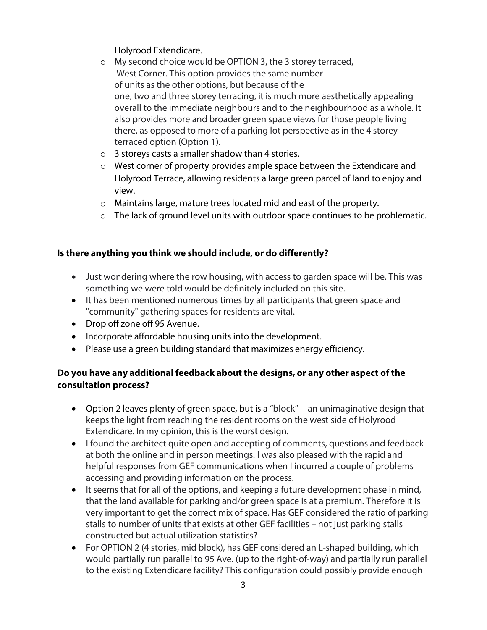Holyrood Extendicare.

- o My second choice would be OPTION 3, the 3 storey terraced, West Corner. This option provides the same number of units as the other options, but because of the one, two and three storey terracing, it is much more aesthetically appealing overall to the immediate neighbours and to the neighbourhood as a whole. It also provides more and broader green space views for those people living there, as opposed to more of a parking lot perspective as in the 4 storey terraced option (Option 1).
- o 3 storeys casts a smaller shadow than 4 stories.
- o West corner of property provides ample space between the Extendicare and Holyrood Terrace, allowing residents a large green parcel of land to enjoy and view.
- o Maintains large, mature trees located mid and east of the property.
- $\circ$  The lack of ground level units with outdoor space continues to be problematic.

### **Is there anything you think we should include, or do differently?**

- Just wondering where the row housing, with access to garden space will be. This was something we were told would be definitely included on this site.
- It has been mentioned numerous times by all participants that green space and "community" gathering spaces for residents are vital.
- Drop off zone off 95 Avenue.
- Incorporate affordable housing units into the development.
- Please use a green building standard that maximizes energy efficiency.

# **Do you have any additional feedback about the designs, or any other aspect of the consultation process?**

- Option 2 leaves plenty of green space, but is a "block"—an unimaginative design that keeps the light from reaching the resident rooms on the west side of Holyrood Extendicare. In my opinion, this is the worst design.
- I found the architect quite open and accepting of comments, questions and feedback at both the online and in person meetings. I was also pleased with the rapid and helpful responses from GEF communications when I incurred a couple of problems accessing and providing information on the process.
- It seems that for all of the options, and keeping a future development phase in mind, that the land available for parking and/or green space is at a premium. Therefore it is very important to get the correct mix of space. Has GEF considered the ratio of parking stalls to number of units that exists at other GEF facilities – not just parking stalls constructed but actual utilization statistics?
- For OPTION 2 (4 stories, mid block), has GEF considered an L-shaped building, which would partially run parallel to 95 Ave. (up to the right-of-way) and partially run parallel to the existing Extendicare facility? This configuration could possibly provide enough